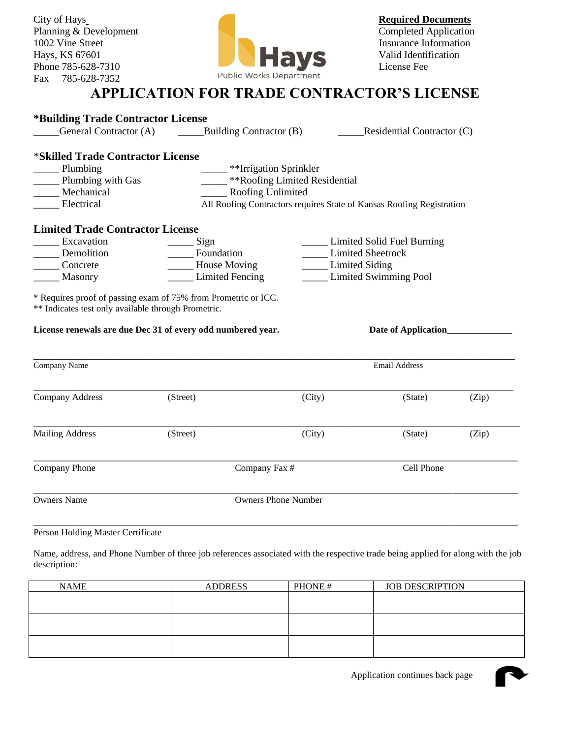Planning & Development Fax 785-628-7352



## **APPLICATION FOR TRADE CONTRACTOR'S LICENSE**

| *Building Trade Contractor License                                                                                                                                                                   |                                                                       |                                 |                              |       |
|------------------------------------------------------------------------------------------------------------------------------------------------------------------------------------------------------|-----------------------------------------------------------------------|---------------------------------|------------------------------|-------|
| General Contractor (A)                                                                                                                                                                               | Building Contractor (B)                                               |                                 | Residential Contractor $(C)$ |       |
| *Skilled Trade Contractor License                                                                                                                                                                    |                                                                       |                                 |                              |       |
| Plumbing                                                                                                                                                                                             | **Irrigation Sprinkler                                                |                                 |                              |       |
| Plumbing with Gas                                                                                                                                                                                    |                                                                       | _ **Roofing Limited Residential |                              |       |
| Mechanical                                                                                                                                                                                           | Roofing Unlimited                                                     |                                 |                              |       |
| Electrical                                                                                                                                                                                           | All Roofing Contractors requires State of Kansas Roofing Registration |                                 |                              |       |
| <b>Limited Trade Contractor License</b>                                                                                                                                                              |                                                                       |                                 |                              |       |
| Excavation                                                                                                                                                                                           | _ Sign                                                                |                                 | Limited Solid Fuel Burning   |       |
| Demolition                                                                                                                                                                                           | Foundation                                                            |                                 | <b>Limited Sheetrock</b>     |       |
| Concrete                                                                                                                                                                                             | <b>Example 3</b> House Moving                                         | <b>Limited Siding</b>           |                              |       |
| Masonry                                                                                                                                                                                              | <b>Limited Fencing</b>                                                |                                 | <b>Limited Swimming Pool</b> |       |
|                                                                                                                                                                                                      |                                                                       |                                 |                              |       |
| * Requires proof of passing exam of 75% from Prometric or ICC.<br>** Indicates test only available through Prometric.<br>License renewals are due Dec 31 of every odd numbered year.<br>Company Name |                                                                       |                                 | Email Address                |       |
|                                                                                                                                                                                                      |                                                                       |                                 |                              |       |
| Company Address                                                                                                                                                                                      | (Street)                                                              | (City)                          | (State)                      | (Zip) |
|                                                                                                                                                                                                      | (Street)                                                              | (City)                          | (State)                      | (Zip) |
| <b>Mailing Address</b><br>Company Phone                                                                                                                                                              | Company Fax #                                                         |                                 | Cell Phone                   |       |

Person Holding Master Certificate

Name, address, and Phone Number of three job references associated with the respective trade being applied for along with the job description:

| <b>NAME</b> | <b>ADDRESS</b> | PHONE# | <b>JOB DESCRIPTION</b> |
|-------------|----------------|--------|------------------------|
|             |                |        |                        |
|             |                |        |                        |
|             |                |        |                        |
|             |                |        |                        |
|             |                |        |                        |
|             |                |        |                        |

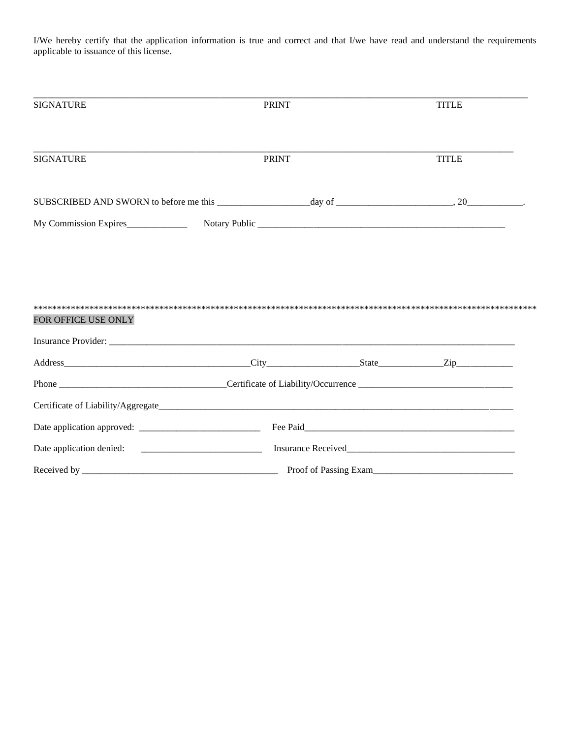I/We hereby certify that the application information is true and correct and that I/we have read and understand the requirements applicable to issuance of this license.

| <b>SIGNATURE</b>                                                                                                                                                                                                               | <b>PRINT</b> | <b>TITLE</b> |
|--------------------------------------------------------------------------------------------------------------------------------------------------------------------------------------------------------------------------------|--------------|--------------|
| <b>SIGNATURE</b>                                                                                                                                                                                                               | <b>PRINT</b> | <b>TITLE</b> |
|                                                                                                                                                                                                                                |              |              |
|                                                                                                                                                                                                                                |              |              |
| FOR OFFICE USE ONLY                                                                                                                                                                                                            |              |              |
|                                                                                                                                                                                                                                |              |              |
|                                                                                                                                                                                                                                |              |              |
|                                                                                                                                                                                                                                |              |              |
| Insurance Provider: 2000 and 2000 and 2000 and 2000 and 2000 and 2000 and 2000 and 2000 and 2000 and 2000 and 2000 and 2000 and 2000 and 2000 and 2000 and 2000 and 2000 and 2000 and 2000 and 2000 and 2000 and 2000 and 2000 |              |              |
|                                                                                                                                                                                                                                |              |              |
|                                                                                                                                                                                                                                |              |              |
|                                                                                                                                                                                                                                |              |              |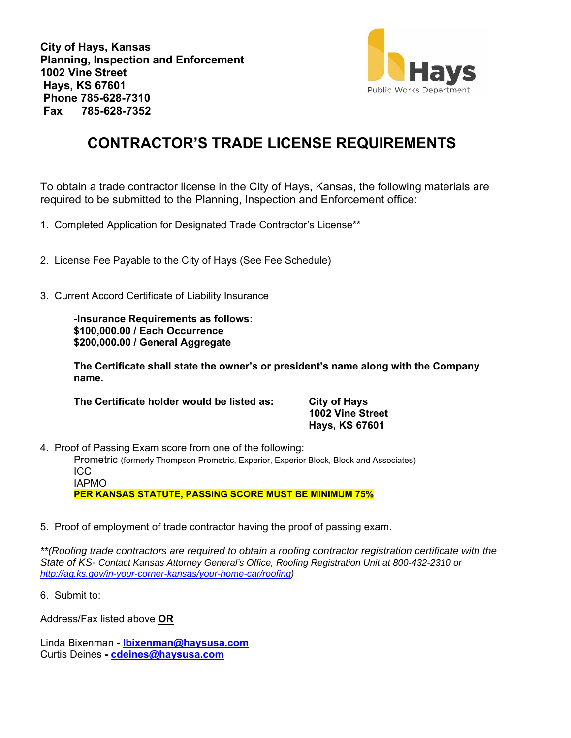**City of Hays, Kansas Planning, Inspection and Enforcement 1002 Vine Street Hays, KS 67601 Phone 785-628-7310 Fax 785-628-7352** 



# **CONTRACTOR'S TRADE LICENSE REQUIREMENTS**

To obtain a trade contractor license in the City of Hays, Kansas, the following materials are required to be submitted to the Planning, Inspection and Enforcement office:

1. Completed Application for Designated Trade Contractor's License\*\*

- 2. License Fee Payable to the City of Hays (See Fee Schedule)
- 3. Current Accord Certificate of Liability Insurance

-**Insurance Requirements as follows: \$100,000.00 / Each Occurrence \$200,000.00 / General Aggregate** 

**The Certificate shall state the owner's or president's name along with the Company name.** 

**The Certificate holder would be listed as: City of Hays** 

 **1002 Vine Street Hays, KS 67601** 

4. Proof of Passing Exam score from one of the following:

Prometric (formerly Thompson Prometric, Experior, Experior Block, Block and Associates) ICC IAPMO

 **PER KANSAS STATUTE, PASSING SCORE MUST BE MINIMUM 75%** 

5. Proof of employment of trade contractor having the proof of passing exam.

*\*\*(Roofing trade contractors are required to obtain a roofing contractor registration certificate with the State of KS- Contact Kansas Attorney General's Office, Roofing Registration Unit at 800-432-2310 or http://ag.ks.gov/in-your-corner-kansas/your-home-car/roofing)* 

6. Submit to:

Address/Fax listed above **OR** 

Linda Bixenman **- lbixenman@haysusa.com** Curtis Deines **- cdeines@haysusa.com**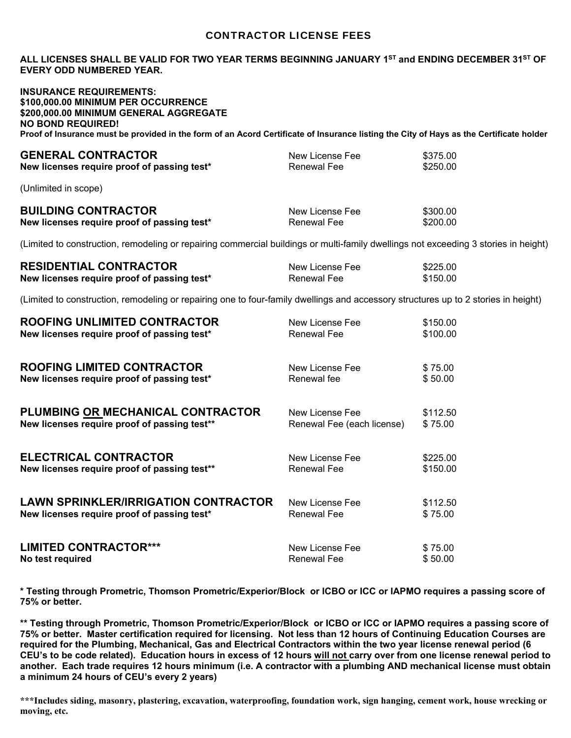### CONTRACTOR LICENSE FEES

#### **ALL LICENSES SHALL BE VALID FOR TWO YEAR TERMS BEGINNING JANUARY 1ST and ENDING DECEMBER 31ST OF EVERY ODD NUMBERED YEAR.**

### **INSURANCE REQUIREMENTS: \$100,000.00 MINIMUM PER OCCURRENCE \$200,000.00 MINIMUM GENERAL AGGREGATE NO BOND REQUIRED! Proof of Insurance must be provided in the form of an Acord Certificate of Insurance listing the City of Hays as the Certificate holder**

| <b>GENERAL CONTRACTOR</b>                                                                                                                                                                                                                                                                                                                                 | New License Fee | \$375.00 |
|-----------------------------------------------------------------------------------------------------------------------------------------------------------------------------------------------------------------------------------------------------------------------------------------------------------------------------------------------------------|-----------------|----------|
| New licenses require proof of passing test*                                                                                                                                                                                                                                                                                                               | Renewal Fee     | \$250.00 |
| $\lambda$ and $\lambda$ and $\lambda$ and $\lambda$ and $\lambda$ and $\lambda$ and $\lambda$ and $\lambda$ and $\lambda$ and $\lambda$ and $\lambda$ and $\lambda$ and $\lambda$ and $\lambda$ and $\lambda$ and $\lambda$ and $\lambda$ and $\lambda$ and $\lambda$ and $\lambda$ and $\lambda$ and $\lambda$ and $\lambda$ and $\lambda$ and $\lambda$ |                 |          |

(Unlimited in scope)

| <b>BUILDING CONTRACTOR</b>                  | New License Fee | \$300.00 |
|---------------------------------------------|-----------------|----------|
| New licenses require proof of passing test* | Renewal Fee     | \$200.00 |

(Limited to construction, remodeling or repairing commercial buildings or multi-family dwellings not exceeding 3 stories in height)

| <b>RESIDENTIAL CONTRACTOR</b>               | New License Fee | \$225.00 |
|---------------------------------------------|-----------------|----------|
| New licenses require proof of passing test* | Renewal Fee     | \$150.00 |

(Limited to construction, remodeling or repairing one to four-family dwellings and accessory structures up to 2 stories in height)

| <b>ROOFING UNLIMITED CONTRACTOR</b>          | New License Fee            | \$150.00            |
|----------------------------------------------|----------------------------|---------------------|
| New licenses require proof of passing test*  | Renewal Fee                | \$100.00            |
| <b>ROOFING LIMITED CONTRACTOR</b>            |                            |                     |
|                                              | New License Fee            | \$75.00             |
| New licenses require proof of passing test*  | Renewal fee                | \$50.00             |
| PLUMBING OR MECHANICAL CONTRACTOR            | New License Fee            |                     |
| New licenses require proof of passing test** | Renewal Fee (each license) | \$112.50<br>\$75.00 |
|                                              |                            |                     |
| <b>ELECTRICAL CONTRACTOR</b>                 | New License Fee            | \$225.00            |
| New licenses require proof of passing test** | Renewal Fee                | \$150.00            |
|                                              |                            |                     |
| <b>LAWN SPRINKLER/IRRIGATION CONTRACTOR</b>  | New License Fee            | \$112.50            |
| New licenses require proof of passing test*  | Renewal Fee                | \$75.00             |
|                                              |                            |                     |
| <b>LIMITED CONTRACTOR***</b>                 | New License Fee            | \$75.00             |
| No test required                             | Renewal Fee                | \$50.00             |
|                                              |                            |                     |

**\* Testing through Prometric, Thomson Prometric/Experior/Block or ICBO or ICC or IAPMO requires a passing score of 75% or better.** 

**\*\* Testing through Prometric, Thomson Prometric/Experior/Block or ICBO or ICC or IAPMO requires a passing score of 75% or better. Master certification required for licensing. Not less than 12 hours of Continuing Education Courses are required for the Plumbing, Mechanical, Gas and Electrical Contractors within the two year license renewal period (6 CEU's to be code related). Education hours in excess of 12 hours will not carry over from one license renewal period to another. Each trade requires 12 hours minimum (i.e. A contractor with a plumbing AND mechanical license must obtain a minimum 24 hours of CEU's every 2 years)** 

**\*\*\*Includes siding, masonry, plastering, excavation, waterproofing, foundation work, sign hanging, cement work, house wrecking or moving, etc.**